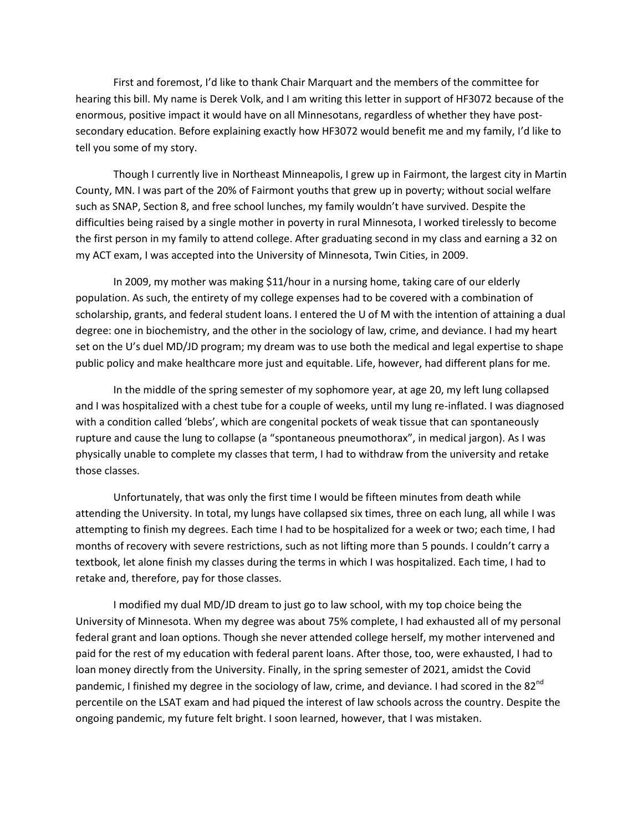First and foremost, I'd like to thank Chair Marquart and the members of the committee for hearing this bill. My name is Derek Volk, and I am writing this letter in support of HF3072 because of the enormous, positive impact it would have on all Minnesotans, regardless of whether they have postsecondary education. Before explaining exactly how HF3072 would benefit me and my family, I'd like to tell you some of my story.

Though I currently live in Northeast Minneapolis, I grew up in Fairmont, the largest city in Martin County, MN. I was part of the 20% of Fairmont youths that grew up in poverty; without social welfare such as SNAP, Section 8, and free school lunches, my family wouldn't have survived. Despite the difficulties being raised by a single mother in poverty in rural Minnesota, I worked tirelessly to become the first person in my family to attend college. After graduating second in my class and earning a 32 on my ACT exam, I was accepted into the University of Minnesota, Twin Cities, in 2009.

In 2009, my mother was making \$11/hour in a nursing home, taking care of our elderly population. As such, the entirety of my college expenses had to be covered with a combination of scholarship, grants, and federal student loans. I entered the U of M with the intention of attaining a dual degree: one in biochemistry, and the other in the sociology of law, crime, and deviance. I had my heart set on the U's duel MD/JD program; my dream was to use both the medical and legal expertise to shape public policy and make healthcare more just and equitable. Life, however, had different plans for me.

In the middle of the spring semester of my sophomore year, at age 20, my left lung collapsed and I was hospitalized with a chest tube for a couple of weeks, until my lung re-inflated. I was diagnosed with a condition called 'blebs', which are congenital pockets of weak tissue that can spontaneously rupture and cause the lung to collapse (a "spontaneous pneumothorax", in medical jargon). As I was physically unable to complete my classes that term, I had to withdraw from the university and retake those classes.

Unfortunately, that was only the first time I would be fifteen minutes from death while attending the University. In total, my lungs have collapsed six times, three on each lung, all while I was attempting to finish my degrees. Each time I had to be hospitalized for a week or two; each time, I had months of recovery with severe restrictions, such as not lifting more than 5 pounds. I couldn't carry a textbook, let alone finish my classes during the terms in which I was hospitalized. Each time, I had to retake and, therefore, pay for those classes.

I modified my dual MD/JD dream to just go to law school, with my top choice being the University of Minnesota. When my degree was about 75% complete, I had exhausted all of my personal federal grant and loan options. Though she never attended college herself, my mother intervened and paid for the rest of my education with federal parent loans. After those, too, were exhausted, I had to loan money directly from the University. Finally, in the spring semester of 2021, amidst the Covid pandemic, I finished my degree in the sociology of law, crime, and deviance. I had scored in the 82<sup>nd</sup> percentile on the LSAT exam and had piqued the interest of law schools across the country. Despite the ongoing pandemic, my future felt bright. I soon learned, however, that I was mistaken.